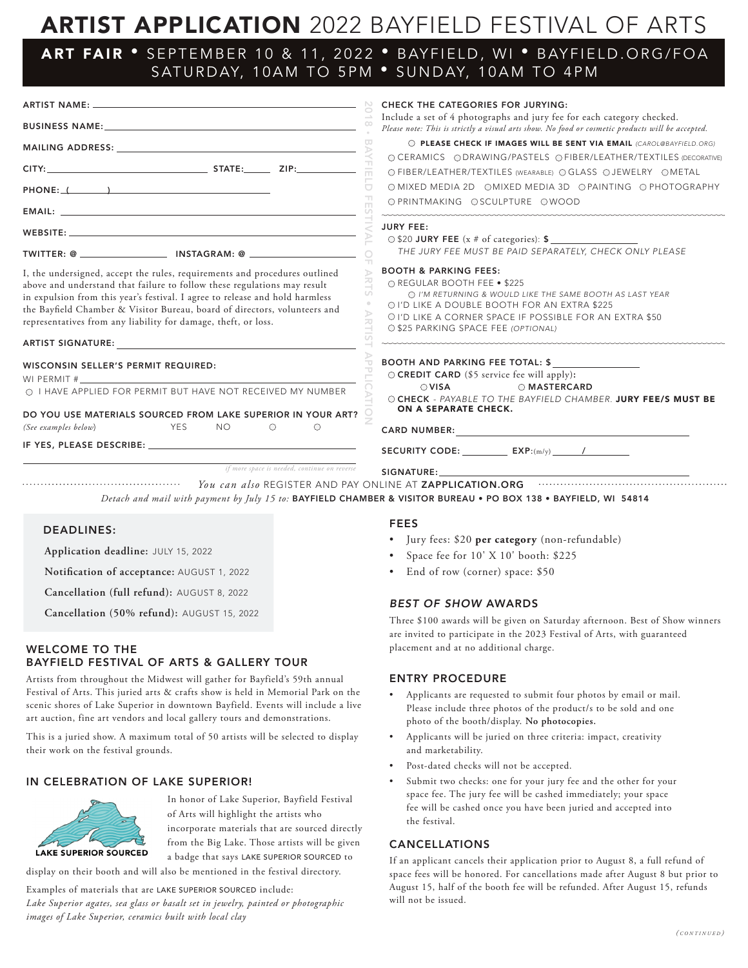# ARTIST APPLICATION 2022 BAYFIELD FESTIVAL OF ARTS

## ART FAIR • SEPTEMBER 10 & 11, 2022 • BAYFIELD, WI • BAYFIELD.ORG/FOA SATURDAY, 10AM TO 5PM • SUNDAY, 10AM TO 4PM

|                                                                                                                                                                                                                                                                                                                                                                                       | <b>CHECK THE CATEGORIES FOR JURYING:</b>                                                                                                                                                                                                                                                           |
|---------------------------------------------------------------------------------------------------------------------------------------------------------------------------------------------------------------------------------------------------------------------------------------------------------------------------------------------------------------------------------------|----------------------------------------------------------------------------------------------------------------------------------------------------------------------------------------------------------------------------------------------------------------------------------------------------|
|                                                                                                                                                                                                                                                                                                                                                                                       | Include a set of 4 photographs and jury fee for each category checked.<br>Please note: This is strictly a visual arts show. No food or cosmetic products will be accepted.                                                                                                                         |
|                                                                                                                                                                                                                                                                                                                                                                                       | O PLEASE CHECK IF IMAGES WILL BE SENT VIA EMAIL (CAROL@BAYFIELD.ORG)<br>$\overline{u}$<br>R<br>○ CERAMICS ○ DRAWING/PASTELS ○ FIBER/LEATHER/TEXTILES (DECORATIVE)                                                                                                                                  |
|                                                                                                                                                                                                                                                                                                                                                                                       | 亩.<br>○ FIBER/LEATHER/TEXTILES (WEARABLE) ○ GLASS ○ JEWELRY ○ METAL                                                                                                                                                                                                                                |
| PHONE: ( )                                                                                                                                                                                                                                                                                                                                                                            | $\Box$<br>O MIXED MEDIA 2D OMIXED MEDIA 3D OPAINTING O PHOTOGRAPHY<br>O PRINTMAKING OSCULPTURE OWOOD                                                                                                                                                                                               |
|                                                                                                                                                                                                                                                                                                                                                                                       |                                                                                                                                                                                                                                                                                                    |
|                                                                                                                                                                                                                                                                                                                                                                                       | <b>JURY FEE:</b><br>○ \$20 JURY FEE (x # of categories): \$<br>THE JURY FEE MUST BE PAID SEPARATELY, CHECK ONLY PLEASE                                                                                                                                                                             |
|                                                                                                                                                                                                                                                                                                                                                                                       | TT.                                                                                                                                                                                                                                                                                                |
| I, the undersigned, accept the rules, requirements and procedures outlined<br>above and understand that failure to follow these regulations may result<br>in expulsion from this year's festival. I agree to release and hold harmless<br>the Bayfield Chamber & Visitor Bureau, board of directors, volunteers and<br>representatives from any liability for damage, theft, or loss. | <b>BOOTH &amp; PARKING FEES:</b><br>O REGULAR BOOTH FEE . \$225<br>O I'M RETURNING & WOULD LIKE THE SAME BOOTH AS LAST YEAR<br>O I'D LIKE A DOUBLE BOOTH FOR AN EXTRA \$225<br>$\mathcal{D}$<br>OI'D LIKE A CORNER SPACE IF POSSIBLE FOR AN EXTRA \$50<br>ᆽ<br>O \$25 PARKING SPACE FEE (OPTIONAL) |
| ARTIST SIGNATURE: The contract of the contract of the contract of the contract of the contract of the contract of the contract of the contract of the contract of the contract of the contract of the contract of the contract                                                                                                                                                        |                                                                                                                                                                                                                                                                                                    |
| WISCONSIN SELLER'S PERMIT REQUIRED:<br>WI PERMIT $\#$                                                                                                                                                                                                                                                                                                                                 | <b>BOOTH AND PARKING FEE TOTAL: \$</b><br>O CREDIT CARD (\$5 service fee will apply):                                                                                                                                                                                                              |
| O I HAVE APPLIED FOR PERMIT BUT HAVE NOT RECEIVED MY NUMBER                                                                                                                                                                                                                                                                                                                           | $\bigcirc$ VISA<br>O MASTERCARD<br>O CHECK - PAYABLE TO THE BAYFIELD CHAMBER. JURY FEE/S MUST BE                                                                                                                                                                                                   |
| DO YOU USE MATERIALS SOURCED FROM LAKE SUPERIOR IN YOUR ART?                                                                                                                                                                                                                                                                                                                          | ON A SEPARATE CHECK.                                                                                                                                                                                                                                                                               |
| (See examples below)<br><b>Example 2019 YES</b><br><b>NO</b><br>$\circ$                                                                                                                                                                                                                                                                                                               | $\circ$                                                                                                                                                                                                                                                                                            |
|                                                                                                                                                                                                                                                                                                                                                                                       | SECURITY CODE: $EXP:(m/v)$ /                                                                                                                                                                                                                                                                       |
| if more space is needed, continue on reverse                                                                                                                                                                                                                                                                                                                                          | SIGNATURE: THE SALE OF THE STATE OF THE STATE OF THE STATE OF THE STATE OF THE STATE OF THE STATE OF THE STATE OF THE STATE OF THE STATE OF THE STATE OF THE STATE OF THE STATE OF THE STATE OF THE STATE OF THE STATE OF THE                                                                      |
|                                                                                                                                                                                                                                                                                                                                                                                       | You can also REGISTER AND PAY ONLINE AT ZAPPLICATION.ORG<br>Detach and mail with payment by July 15 to: BAYFIELD CHAMBER & VISITOR BUREAU . PO BOX 138 . BAYFIELD, WI 54814                                                                                                                        |

#### DEADLINES:

**Application deadline:** JULY 15, 2022

**Notification of acceptance:** AUGUST 1, 2022

**Cancellation (full refund):** AUGUST 8, 2022

**Cancellation (50% refund):** AUGUST 15, 2022

#### WELCOME TO THE BAYFIELD FESTIVAL OF ARTS & GALLERY TOUR

Artists from throughout the Midwest will gather for Bayfield's 59th annual Festival of Arts. This juried arts & crafts show is held in Memorial Park on the scenic shores of Lake Superior in downtown Bayfield. Events will include a live art auction, fine art vendors and local gallery tours and demonstrations.

This is a juried show. A maximum total of 50 artists will be selected to display their work on the festival grounds.

#### IN CELEBRATION OF LAKE SUPERIOR!



In honor of Lake Superior, Bayfield Festival of Arts will highlight the artists who incorporate materials that are sourced directly from the Big Lake. Those artists will be given a badge that says LAKE SUPERIOR SOURCED to

display on their booth and will also be mentioned in the festival directory.

Examples of materials that are LAKE SUPERIOR SOURCED include:

*Lake Superior agates, sea glass or basalt set in jewelry, painted or photographic images of Lake Superior, ceramics built with local clay*

#### FEES

- Jury fees: \$20 **per category** (non-refundable)
- Space fee for 10' X 10' booth: \$225
- End of row (corner) space: \$50

#### *BEST OF SHOW* AWARDS

Three \$100 awards will be given on Saturday afternoon. Best of Show winners are invited to participate in the 2023 Festival of Arts, with guaranteed placement and at no additional charge.

#### ENTRY PROCEDURE

- Applicants are requested to submit four photos by email or mail. Please include three photos of the product/s to be sold and one photo of the booth/display. **No photocopies.**
- Applicants will be juried on three criteria: impact, creativity and marketability.
- Post-dated checks will not be accepted.
- Submit two checks: one for your jury fee and the other for your space fee. The jury fee will be cashed immediately; your space fee will be cashed once you have been juried and accepted into the festival.

#### CANCELLATIONS

If an applicant cancels their application prior to August 8, a full refund of space fees will be honored. For cancellations made after August 8 but prior to August 15, half of the booth fee will be refunded. After August 15, refunds will not be issued.